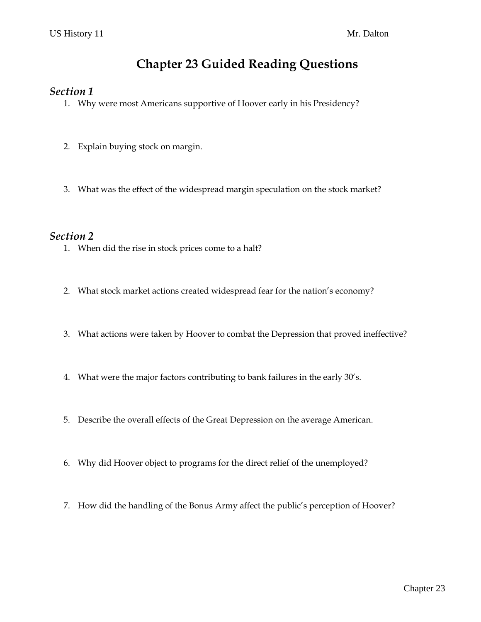# **Chapter 23 Guided Reading Questions**

#### *Section 1*

- 1. Why were most Americans supportive of Hoover early in his Presidency?
- 2. Explain buying stock on margin.
- 3. What was the effect of the widespread margin speculation on the stock market?

#### *Section 2*

- 1. When did the rise in stock prices come to a halt?
- 2. What stock market actions created widespread fear for the nation's economy?
- 3. What actions were taken by Hoover to combat the Depression that proved ineffective?
- 4. What were the major factors contributing to bank failures in the early 30's.
- 5. Describe the overall effects of the Great Depression on the average American.
- 6. Why did Hoover object to programs for the direct relief of the unemployed?
- 7. How did the handling of the Bonus Army affect the public's perception of Hoover?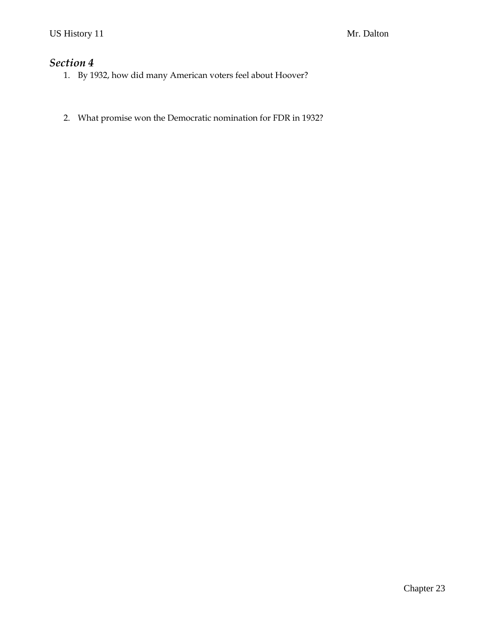## *Section 4*

- 1. By 1932, how did many American voters feel about Hoover?
- 2. What promise won the Democratic nomination for FDR in 1932?